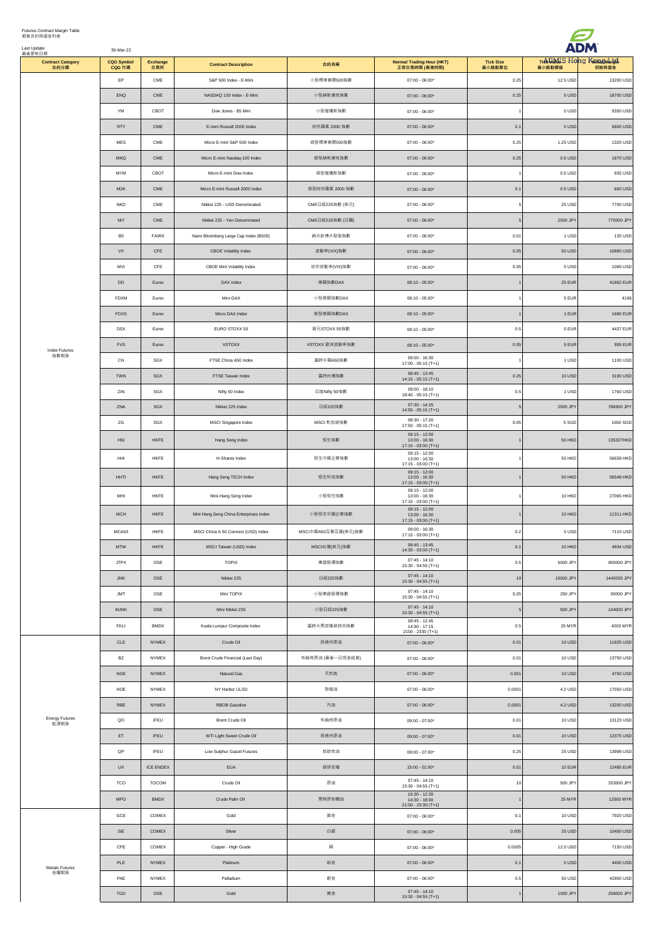| Futures Contract Margin Table<br>期貨合約保證金列表<br>Last Update<br>最後更新日期 | 30-Mar-22                   |                  |                                        |                     |                                                             |                            |               |                                      |
|---------------------------------------------------------------------|-----------------------------|------------------|----------------------------------------|---------------------|-------------------------------------------------------------|----------------------------|---------------|--------------------------------------|
| <b>Contract Category</b><br>合約分類                                    | <b>CQG Symbol</b><br>CQG 代碼 | Exchange<br>交易所  | <b>Contract Description</b>            | 合約名稱                | <b>Normal Trading Hour (HKT)</b><br>正常交易時間 (香港時間)           | <b>Tick Size</b><br>最小跳動單位 | 最小跳動價值        | Tick DMIS Hong Knigh Marigh<br>初始保證金 |
|                                                                     | EP                          | CME              | S&P 500 Index - E-Mini                 | 小型標準普爾500指數         | $07:00 - 06:00*$                                            | 0.25                       | 12.5 USD      | 13200 USD                            |
|                                                                     | ENQ                         | $\mathsf{CME}$   | NASDAQ 100 Index - E-Mini              | 小型納斯達克指數            | $07:00 - 06:00*$                                            | 0.25                       | 5 USD         | 18700 USD                            |
|                                                                     | YM                          | CBOT             | Dow Jones - \$5 Mini                   | 小型道瓊斯指數             | $07:00 - 06:00*$                                            |                            | 5 USD         | 9350 USD                             |
|                                                                     | <b>RTY</b>                  | CME              | E-mini Russell 2000 Index              | 迷你羅素 2000 指數        | $07:00 - 06:00*$                                            | 0.1                        | 5 USD         | 6600 USD                             |
|                                                                     | MES                         | CME              | Micro E-mini S&P 500 Index             | 微型標準普爾500指數         | $07:00 - 06:00*$                                            | 0.25                       | 1.25 USD      | 1320 USD                             |
|                                                                     | MNQ                         | $\mathsf{CME}$   | Micro E-mini Nasdaq-100 Index          | 微型納斯達克指數            | $07:00 - 06:00*$                                            | 0.25                       | 0.5 USD       | 1870 USD                             |
|                                                                     | <b>MYM</b>                  | CBOT             | Micro E-mini Dow Index                 | 微型道瓊斯指數             | $07:00 - 06:00*$                                            |                            | 0.5 USD       | 935 USD                              |
|                                                                     | M2K                         | ${\sf CME}$      | Micro E-mini Russell 2000 Index        | 微型迷你羅素 2000 指數      | $07:00 - 06:00*$                                            | 0.1                        | 0.5 USD       | 660 USD                              |
|                                                                     | <b>NKD</b>                  | $\mathsf{CME}$   | Nikkei 225 - USD Denominated           | CME日經225指數 (美元)     | $07:00 - 06:00*$                                            |                            | 25 USD        | 7700 USD                             |
|                                                                     | NIY                         | $\mathsf{CME}$   | Nikkei 225 - Yen Denominated           | CME日經225指數 (日圓)     | $07:00 - 06:00*$                                            |                            | 2500 JPY      | 770000 JPY                           |
|                                                                     | <b>B5</b>                   | FAIRX            | Nano Bloomberg Large Cap Index (B500)  | 納米彭博大型股指數           | $07:00 - 06:00*$                                            | 0.01                       | 1 USD         | 130 USD                              |
|                                                                     | VX                          | $\tt CFE$        | CBOE Volatility Index                  | 波動率(VIX)指數          | $07:00 - 06:00*$                                            | 0.05                       | 50 USD        | 10890 USD                            |
|                                                                     | MVI                         | $\tt CFE$        | CBOE Mini Volatility Index             | 迷你波動率(VIX)指數        | $07:00 - 06:00*$                                            | 0.05                       | 5 USD         | 1089 USD                             |
|                                                                     | <b>DD</b>                   | Eurex            | DAX Index                              | 德國指數DAX             | $08:10 - 05:00*$                                            |                            | 25 EUR        | 41862 EUR                            |
|                                                                     | FDXM                        | Eurex            | Mini-DAX                               | 小型德國指數DAX           | $08:10 - 05:00*$                                            |                            | 5 EUR         | 4186                                 |
|                                                                     | <b>FDXS</b>                 | Eurex            | Micro DAX Index                        | 微型德國指數DAX           | $08:10 - 05:00*$                                            |                            | 1 EUR         | 1680 EUR                             |
|                                                                     | <b>DSX</b>                  | Eurex            | EURO STOXX 50                          | 歐元STOXX 50指數        | $08:10 - 05:00*$                                            | 0.5                        | 5 EUR         | 4437 EUR                             |
| <b>Index Futures</b>                                                | <b>FVS</b>                  | Eurex            | VSTOXX                                 | VSTOXX 歐洲波動率指數      | $08:10 - 05:00*$                                            | 0.05                       | 5 EUR         | 955 EUR                              |
| 指數期貨                                                                | CN                          | SGX              | FTSE China A50 Index                   | 富時中國A50指數           | $09:00 - 16:30$<br>17:00 - 05:15 (T+1)                      |                            | 1 USD         | 1100 USD                             |
|                                                                     | TWN                         | SGX              | FTSE Taiwan Index                      | 富時台灣指數              | $08:45 - 13:45$<br>$14:15 - 05:15(T+1)$                     | 0.25                       | 10 USD        | 3190 USD                             |
|                                                                     | ZIN                         | SGX              | Nifty 50 Index                         | 印度Nifty 50指數        | $09:00 - 18:10$<br>18:40 - 05:15 (T+1)                      | 0.5                        | 1 USD         | 1760 USD                             |
|                                                                     | ZNA                         | SGX              | Nikkei 225 Index                       | 日經225指數             | $07:30 - 14:25$<br>$14:55 - 05:15(T+1)$                     |                            | 2500 JPY      | 786500 JPY                           |
|                                                                     | ZG                          | SGX              | MSCI Singapore Index                   | MSCI 新加坡指數          | $08:30 - 17:20$<br>17:50 - 05:15 (T+1)                      | 0.05                       | 5 SGD         | 1650 SGD                             |
|                                                                     | <b>HSI</b>                  | HKFE             | Hang Seng Index                        | 恒生指數                | $09:15 - 12:00$<br>$13:00 - 16:30$<br>17:15 - 03:00 (T+1)   |                            | 50 HKD        | 135327HKD                            |
|                                                                     | HHI                         | HKFE             | H-Shares Index                         | 恒生中國企業指數            | $09:15 - 12:00$<br>13:00 - 16:30                            |                            | 50 HKD        | 56658 HKD                            |
|                                                                     |                             | HKFE             |                                        |                     | 17:15 - 03:00 (T+1)<br>$09:15 - 12:00$                      |                            |               |                                      |
|                                                                     | HHTI                        |                  | Hang Seng TECH Index                   | 恒生科技指數              | 13:00 - 16:30<br>17:15 - 03:00 (T+1)<br>$09:15 - 12:00$     |                            | 50 HKD        | 56548 HKD                            |
|                                                                     | MHI                         | HKFE             | Mini-Hang Seng Index                   | 小型恒生指數              | 13:00 - 16:30<br>17:15 - 03:00 (T+1)                        |                            | 10 HKD        | 27065 HKD                            |
|                                                                     | MCH                         | HKFE             | Mini Hang Seng China Enterprises Index | 小型恒生中國企業指數          | $09:15 - 12:00$<br>$13:00 - 16:30$<br>$17:15 - 03:00$ (T+1) |                            | 10 HKD        | 11311 HKD                            |
|                                                                     | MCA50                       | HKFE             | MSCI China A 50 Connect (USD) Index    | MSCI中國A50互聯互通(美元)指數 | $09:00 - 16:30$<br>17:15 - 03:00 (T+1)                      | 0.2                        | 5 USD         | 7115 USD                             |
|                                                                     | <b>MTW</b>                  | HKFE             | MSCI Taiwan (USD) Index                | MSCI台灣(美元)指數        | $08:45 - 13:45$<br>$14:30 - 03:00$ (T+1)                    | 0.1                        | 10 HKD        | 4934 USD                             |
|                                                                     | <b>JTPX</b>                 | OSE              | <b>TOPIX</b>                           | 東證股價指數              | $07:45 - 14:10$<br>$15:30 - 04:55$ (T+1)                    | 0.5                        | 5000 JPY      | 900000 JPY                           |
|                                                                     | ${\sf JNK}$                 | OSE              | Nikkei 225                             | 日經225指數             | $07:45 - 14:10$<br>$15:30 - 04:55$ (T+1)                    | $10$                       | 10000 JPY     | 1440000 JPY                          |
|                                                                     | <b>JMT</b>                  | OSE              | Mini TOPIX                             | 小型東證股價指數            | $07:45 - 14:10$<br>15:30 - 04:55 (T+1)                      | 0.25                       | 250 JPY       | 90000 JPY                            |
|                                                                     | <b>MJNK</b>                 | OSE              | Mini Nikkei 225                        | 小型日經225指數           | $07:45 - 14:10$<br>$15:30 - 04:55$ (T+1)                    | 5                          | 500 JPY       | 144000 JPY                           |
|                                                                     | FKLI                        | <b>BMDX</b>      | Kuala Lumpur Composite Index           | 富時大馬吉隆坡綜合指數         | $08:45 - 12:45$<br>$14:30 - 17:15$                          | 0.5                        | 25 MYR        | 4200 MYR                             |
|                                                                     | $_{\rm CLE}$                | <b>NYMEX</b>     | Crude Oil                              | 西德州原油               | 2100 - 2330 (T+1)<br>$07:00 - 06:00*$                       | 0.01                       | 10 USD        | 11825 USD                            |
|                                                                     | BZ                          | NYMEX            | Brent Crude Financial (Last Day)       | 布倫特原油 (最後一日現金結算)    | $07:00 - 06:00*$                                            | 0.01                       | 10 USD        | 13750 USD                            |
| <b>Energy Futures</b><br>能源期貨                                       | <b>NGE</b>                  | NYMEX            | Natural Gas                            | 天然氣                 | $07:00 - 06:00*$                                            | 0.001                      | 10 USD        | 4750 USD                             |
|                                                                     | HOE                         | <b>NYMEX</b>     | NY Harbor ULSD                         | 取暖油                 | $07:00 - 06:00*$                                            | 0.0001                     | 4.2 USD       | 17050 USD                            |
|                                                                     | RBE                         | NYMEX            | RBOB Gasoline                          | 汽油                  | $07:00 - 06:00*$                                            | 0.0001                     | 4.2 USD       | 13200 USD                            |
|                                                                     | QO                          | <b>IFEU</b>      | Brent Crude Oil                        | 布倫特原油               | $09:00 - 07:00*$                                            | 0.01                       | 10 USD        | 13123 USD                            |
|                                                                     | ET                          | <b>IFEU</b>      | WTI Light Sweet Crude Oil              | 西德州原油               | $09:00 - 07:00*$                                            | 0.01                       | 10 USD        | 12375 USD                            |
|                                                                     | $\mathsf{QP}$               | IFEU             | Low Sulphur Gasoil Futures             | 低硫柴油                | $09:00 - 07:00*$                                            | 0.25                       | 25 USD        | 13998 USD                            |
|                                                                     | <b>UX</b>                   | <b>ICE ENDEX</b> | <b>EUA</b>                             | 碳排放權                | $15:00 - 01:00*$                                            | 0.01                       | <b>10 EUR</b> | 12485 EUR                            |
|                                                                     | TCO                         | TOCOM            | Crude Oil                              | 原油                  | $07:45 - 14:10$                                             | $10$                       | 500 JPY       | 333000 JPY                           |
|                                                                     | <b>MPO</b>                  | ${\tt BMDX}$     | Crude Palm Oil                         | 馬幣原棕櫚油              | 15:30 - 04:55 (T+1)<br>$10:30 - 12:30$<br>$14:30 - 18:00$   |                            | 25 MYR        | 12500 MYR                            |
|                                                                     |                             |                  |                                        |                     | $21:00 - 23:30$ (T+1)                                       |                            |               |                                      |
| Metals Futures<br>金屬期貨                                              | GCE                         | COMEX            | Gold                                   | 黃金                  | $07:00 - 06:00*$                                            | 0.1                        | 10 USD        | 7920 USD                             |
|                                                                     | SIE                         | COMEX            | Silver                                 | 白銀                  | $07:00 - 06:00*$                                            | 0.005                      | 25 USD        | 10450 USD                            |
|                                                                     | CPE                         | COMEX            | Copper - High Grade                    | 銅                   | $07:00 - 06:00*$                                            | 0.0005                     | 12.5 USD      | 7150 USD                             |
|                                                                     | PLE                         | NYMEX            | Platinum                               | 鉑金                  | $07:00 - 06:00*$                                            | 0.1                        | 5 USD         | 4400 USD                             |
|                                                                     | PAE                         | NYMEX            | Palladium                              | 鈀金                  | $07:00 - 06:00*$<br>$07:45 - 14:10$                         | 0.5                        | 50 USD        | 42900 USD                            |
|                                                                     | TGD                         | OSE              | Gold                                   | 黃金                  | 15:30 - 04:55 (T+1)                                         |                            | 1000 JPY      | 258000 JPY                           |